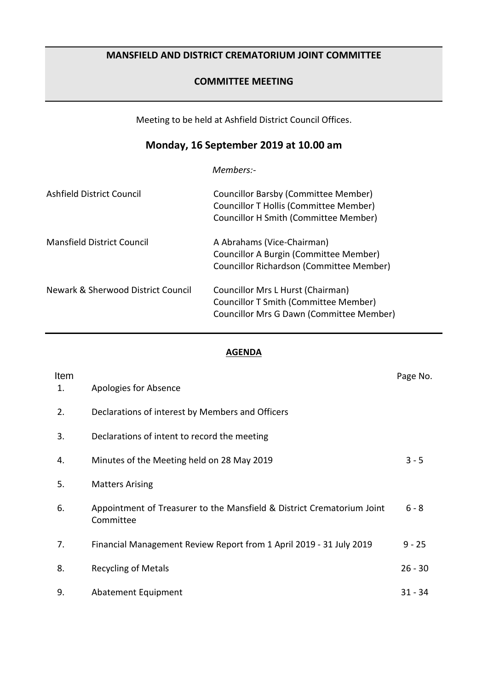# **MANSFIELD AND DISTRICT CREMATORIUM JOINT COMMITTEE**

## **COMMITTEE MEETING**

Meeting to be held at Ashfield District Council Offices.

# **Monday, 16 September 2019 at 10.00 am**

*Members:-*

| Ashfield District Council          | Councillor Barsby (Committee Member)<br>Councillor T Hollis (Committee Member)<br><b>Councillor H Smith (Committee Member)</b> |
|------------------------------------|--------------------------------------------------------------------------------------------------------------------------------|
| <b>Mansfield District Council</b>  | A Abrahams (Vice-Chairman)<br>Councillor A Burgin (Committee Member)<br>Councillor Richardson (Committee Member)               |
| Newark & Sherwood District Council | Councillor Mrs L Hurst (Chairman)<br>Councillor T Smith (Committee Member)<br>Councillor Mrs G Dawn (Committee Member)         |

#### **AGENDA**

| Item<br>1. | Apologies for Absence                                                               | Page No.  |
|------------|-------------------------------------------------------------------------------------|-----------|
| 2.         | Declarations of interest by Members and Officers                                    |           |
| 3.         | Declarations of intent to record the meeting                                        |           |
| 4.         | Minutes of the Meeting held on 28 May 2019                                          | $3 - 5$   |
| 5.         | <b>Matters Arising</b>                                                              |           |
| 6.         | Appointment of Treasurer to the Mansfield & District Crematorium Joint<br>Committee | $6 - 8$   |
| 7.         | Financial Management Review Report from 1 April 2019 - 31 July 2019                 | $9 - 25$  |
| 8.         | <b>Recycling of Metals</b>                                                          | $26 - 30$ |
| 9.         | Abatement Equipment                                                                 | $31 - 34$ |